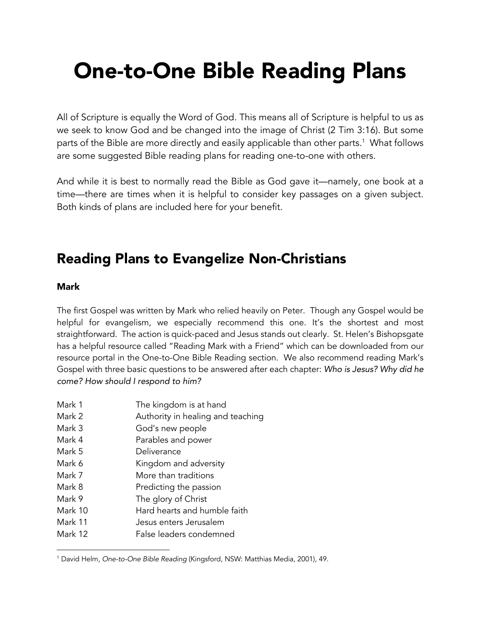# One-to-One Bible Reading Plans

All of Scripture is equally the Word of God. This means all of Scripture is helpful to us as we seek to know God and be changed into the image of Christ (2 Tim 3:16). But some parts of the Bible are more directly and easily applicable than other parts.<sup>1</sup> What follows are some suggested Bible reading plans for reading one-to-one with others.

And while it is best to normally read the Bible as God gave it—namely, one book at a time—there are times when it is helpful to consider key passages on a given subject. Both kinds of plans are included here for your benefit.

### Reading Plans to Evangelize Non-Christians

### Mark

The first Gospel was written by Mark who relied heavily on Peter. Though any Gospel would be helpful for evangelism, we especially recommend this one. It's the shortest and most straightforward. The action is quick-paced and Jesus stands out clearly. St. Helen's Bishopsgate has a helpful resource called "Reading Mark with a Friend" which can be downloaded from our resource portal in the One-to-One Bible Reading section. We also recommend reading Mark's Gospel with three basic questions to be answered after each chapter: *Who is Jesus? Why did he come? How should I respond to him?*

- Mark 1 The kingdom is at hand
- Mark 2 **Authority in healing and teaching**
- Mark 3 God's new people
- Mark 4 **Parables and power**
- Mark 5 Deliverance
- Mark 6 Kingdom and adversity
- Mark 7 More than traditions
- Mark 8 **Predicting the passion**
- Mark 9 The glory of Christ
- Mark 10 Hard hearts and humble faith
- Mark 11 Jesus enters Jerusalem
- Mark 12 False leaders condemned

<sup>1</sup> David Helm, *One-to-One Bible Reading* (Kingsford, NSW: Matthias Media, 2001), 49.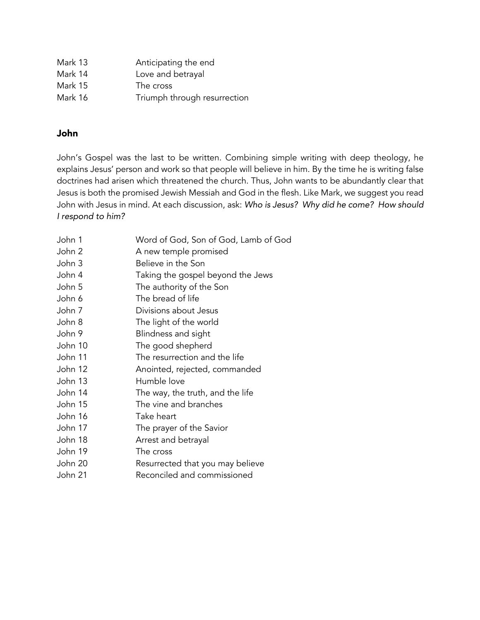| Mark 13 | Anticipating the end         |
|---------|------------------------------|
| Mark 14 | Love and betrayal            |
| Mark 15 | The cross                    |
| Mark 16 | Triumph through resurrection |

### John

John's Gospel was the last to be written. Combining simple writing with deep theology, he explains Jesus' person and work so that people will believe in him. By the time he is writing false doctrines had arisen which threatened the church. Thus, John wants to be abundantly clear that Jesus is both the promised Jewish Messiah and God in the flesh. Like Mark, we suggest you read John with Jesus in mind. At each discussion, ask: *Who is Jesus? Why did he come? How should I respond to him?*

| John 1  | Word of God, Son of God, Lamb of God |
|---------|--------------------------------------|
| John 2  | A new temple promised                |
| John 3  | Believe in the Son                   |
| John 4  | Taking the gospel beyond the Jews    |
| John 5  | The authority of the Son             |
| John 6  | The bread of life                    |
| John 7  | Divisions about Jesus                |
| John 8  | The light of the world               |
| John 9  | Blindness and sight                  |
| John 10 | The good shepherd                    |
| John 11 | The resurrection and the life        |
| John 12 | Anointed, rejected, commanded        |
| John 13 | Humble love                          |
| John 14 | The way, the truth, and the life     |
| John 15 | The vine and branches                |
| John 16 | Take heart                           |
| John 17 | The prayer of the Savior             |
| John 18 | Arrest and betrayal                  |
| John 19 | The cross                            |
| John 20 | Resurrected that you may believe     |
| John 21 | Reconciled and commissioned          |
|         |                                      |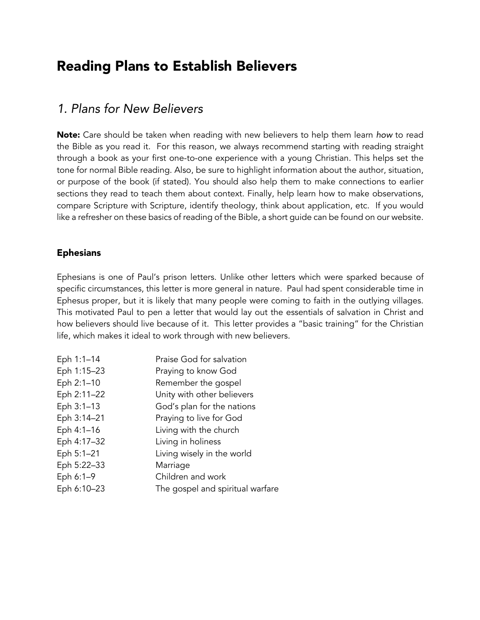### Reading Plans to Establish Believers

### *1. Plans for New Believers*

Note: Care should be taken when reading with new believers to help them learn *how* to read the Bible as you read it. For this reason, we always recommend starting with reading straight through a book as your first one-to-one experience with a young Christian. This helps set the tone for normal Bible reading. Also, be sure to highlight information about the author, situation, or purpose of the book (if stated). You should also help them to make connections to earlier sections they read to teach them about context. Finally, help learn how to make observations, compare Scripture with Scripture, identify theology, think about application, etc. If you would like a refresher on these basics of reading of the Bible, a short guide can be found on our website.

### Ephesians

Ephesians is one of Paul's prison letters. Unlike other letters which were sparked because of specific circumstances, this letter is more general in nature. Paul had spent considerable time in Ephesus proper, but it is likely that many people were coming to faith in the outlying villages. This motivated Paul to pen a letter that would lay out the essentials of salvation in Christ and how believers should live because of it. This letter provides a "basic training" for the Christian life, which makes it ideal to work through with new believers.

| Eph 1:1-14  | Praise God for salvation         |
|-------------|----------------------------------|
| Eph 1:15-23 | Praying to know God              |
| Eph 2:1-10  | Remember the gospel              |
| Eph 2:11-22 | Unity with other believers       |
| Eph 3:1-13  | God's plan for the nations       |
| Eph 3:14-21 | Praying to live for God          |
| Eph 4:1-16  | Living with the church           |
| Eph 4:17-32 | Living in holiness               |
| Eph 5:1-21  | Living wisely in the world       |
| Eph 5:22-33 | Marriage                         |
| Eph 6:1-9   | Children and work                |
| Eph 6:10-23 | The gospel and spiritual warfare |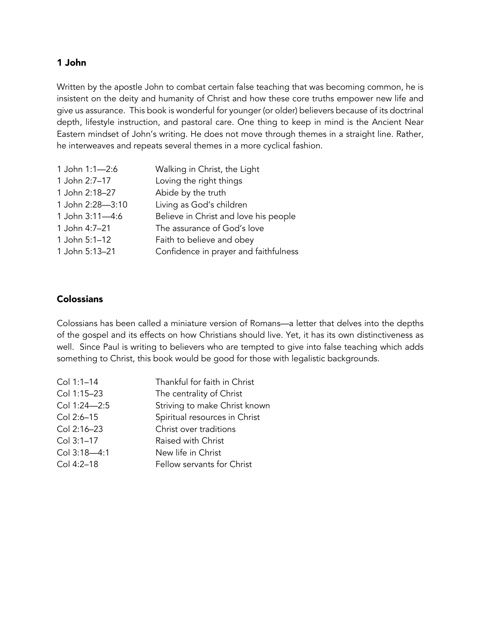### 1 John

Written by the apostle John to combat certain false teaching that was becoming common, he is insistent on the deity and humanity of Christ and how these core truths empower new life and give us assurance. This book is wonderful for younger (or older) believers because of its doctrinal depth, lifestyle instruction, and pastoral care. One thing to keep in mind is the Ancient Near Eastern mindset of John's writing. He does not move through themes in a straight line. Rather, he interweaves and repeats several themes in a more cyclical fashion.

| Walking in Christ, the Light          |
|---------------------------------------|
| Loving the right things               |
| Abide by the truth                    |
| Living as God's children              |
| Believe in Christ and love his people |
| The assurance of God's love           |
| Faith to believe and obey             |
| Confidence in prayer and faithfulness |
|                                       |

### **Colossians**

Colossians has been called a miniature version of Romans—a letter that delves into the depths of the gospel and its effects on how Christians should live. Yet, it has its own distinctiveness as well. Since Paul is writing to believers who are tempted to give into false teaching which adds something to Christ, this book would be good for those with legalistic backgrounds.

| Col 1:1-14   | Thankful for faith in Christ  |
|--------------|-------------------------------|
| Col 1:15-23  | The centrality of Christ      |
| Col 1:24-2:5 | Striving to make Christ known |
| Col 2:6-15   | Spiritual resources in Christ |
| Col 2:16-23  | Christ over traditions        |
| Col 3:1-17   | Raised with Christ            |
| Col 3:18-4:1 | New life in Christ            |
| Col 4:2-18   | Fellow servants for Christ    |
|              |                               |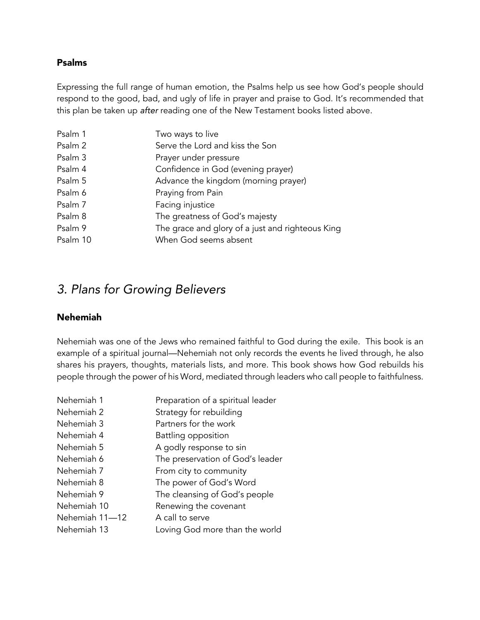### Psalms

Expressing the full range of human emotion, the Psalms help us see how God's people should respond to the good, bad, and ugly of life in prayer and praise to God. It's recommended that this plan be taken up *after* reading one of the New Testament books listed above.

| Psalm 1  | Two ways to live                                 |
|----------|--------------------------------------------------|
| Psalm 2  | Serve the Lord and kiss the Son                  |
| Psalm 3  | Prayer under pressure                            |
| Psalm 4  | Confidence in God (evening prayer)               |
| Psalm 5  | Advance the kingdom (morning prayer)             |
| Psalm 6  | Praying from Pain                                |
| Psalm 7  | Facing injustice                                 |
| Psalm 8  | The greatness of God's majesty                   |
| Psalm 9  | The grace and glory of a just and righteous King |
| Psalm 10 | When God seems absent                            |

### *3. Plans for Growing Believers*

### Nehemiah

Nehemiah was one of the Jews who remained faithful to God during the exile. This book is an example of a spiritual journal—Nehemiah not only records the events he lived through, he also shares his prayers, thoughts, materials lists, and more. This book shows how God rebuilds his people through the power of his Word, mediated through leaders who call people to faithfulness.

| Nehemiah 1     | Preparation of a spiritual leader |
|----------------|-----------------------------------|
| Nehemiah 2     | Strategy for rebuilding           |
| Nehemiah 3     | Partners for the work             |
| Nehemiah 4     | Battling opposition               |
| Nehemiah 5     | A godly response to sin           |
| Nehemiah 6     | The preservation of God's leader  |
| Nehemiah 7     | From city to community            |
| Nehemiah 8     | The power of God's Word           |
| Nehemiah 9     | The cleansing of God's people     |
| Nehemiah 10    | Renewing the covenant             |
| Nehemiah 11-12 | A call to serve                   |
| Nehemiah 13    | Loving God more than the world    |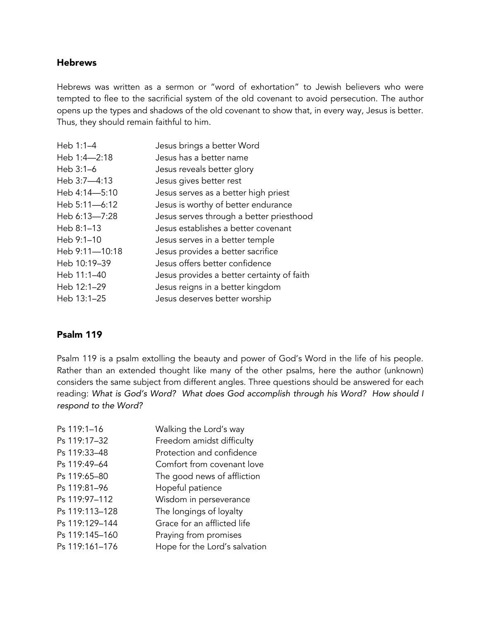### **Hebrews**

Hebrews was written as a sermon or "word of exhortation" to Jewish believers who were tempted to flee to the sacrificial system of the old covenant to avoid persecution. The author opens up the types and shadows of the old covenant to show that, in every way, Jesus is better. Thus, they should remain faithful to him.

| Heb 1:1-4      | Jesus brings a better Word                 |
|----------------|--------------------------------------------|
| Heb 1:4-2:18   | Jesus has a better name                    |
| Heb $3:1-6$    | Jesus reveals better glory                 |
| Heb 3:7-4:13   | Jesus gives better rest                    |
| Heb 4:14-5:10  | Jesus serves as a better high priest       |
| Heb 5:11-6:12  | Jesus is worthy of better endurance        |
| Heb 6:13-7:28  | Jesus serves through a better priesthood   |
| Heb $8:1-13$   | Jesus establishes a better covenant        |
| Heb $9:1-10$   | Jesus serves in a better temple            |
| Heb 9:11-10:18 | Jesus provides a better sacrifice          |
| Heb 10:19-39   | Jesus offers better confidence             |
| Heb 11:1-40    | Jesus provides a better certainty of faith |
| Heb 12:1-29    | Jesus reigns in a better kingdom           |
| Heb 13:1-25    | Jesus deserves better worship              |

### Psalm 119

Psalm 119 is a psalm extolling the beauty and power of God's Word in the life of his people. Rather than an extended thought like many of the other psalms, here the author (unknown) considers the same subject from different angles. Three questions should be answered for each reading: *What is God's Word? What does God accomplish through his Word? How should I respond to the Word?*

| Walking the Lord's way        |
|-------------------------------|
| Freedom amidst difficulty     |
| Protection and confidence     |
| Comfort from covenant love    |
| The good news of affliction   |
| Hopeful patience              |
| Wisdom in perseverance        |
| The longings of loyalty       |
| Grace for an afflicted life   |
| Praying from promises         |
| Hope for the Lord's salvation |
|                               |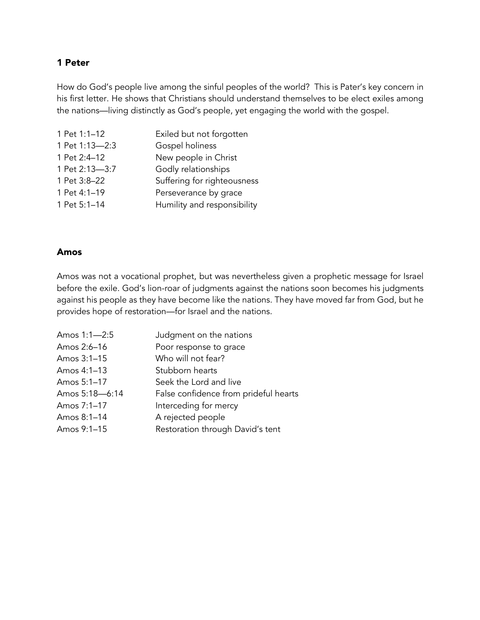### 1 Peter

How do God's people live among the sinful peoples of the world? This is Pater's key concern in his first letter. He shows that Christians should understand themselves to be elect exiles among the nations—living distinctly as God's people, yet engaging the world with the gospel.

| Exiled but not forgotten    |
|-----------------------------|
| Gospel holiness             |
| New people in Christ        |
| Godly relationships         |
| Suffering for righteousness |
| Perseverance by grace       |
| Humility and responsibility |
|                             |

### Amos

Amos was not a vocational prophet, but was nevertheless given a prophetic message for Israel before the exile. God's lion-roar of judgments against the nations soon becomes his judgments against his people as they have become like the nations. They have moved far from God, but he provides hope of restoration—for Israel and the nations.

| Amos 1:1-2:5   | Judgment on the nations               |
|----------------|---------------------------------------|
| Amos 2:6-16    | Poor response to grace                |
| Amos 3:1-15    | Who will not fear?                    |
| Amos 4:1-13    | Stubborn hearts                       |
| Amos 5:1-17    | Seek the Lord and live                |
| Amos 5:18-6:14 | False confidence from prideful hearts |
| Amos 7:1-17    | Interceding for mercy                 |
| Amos 8:1-14    | A rejected people                     |
| Amos 9:1-15    | Restoration through David's tent      |
|                |                                       |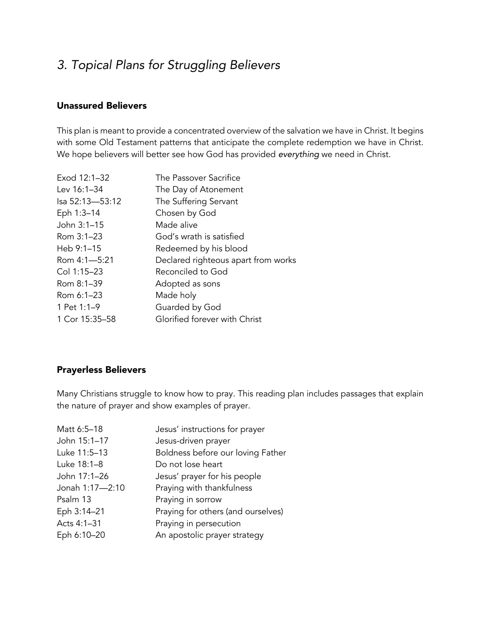### *3. Topical Plans for Struggling Believers*

### Unassured Believers

This plan is meant to provide a concentrated overview of the salvation we have in Christ. It begins with some Old Testament patterns that anticipate the complete redemption we have in Christ. We hope believers will better see how God has provided *everything* we need in Christ.

| Exod 12:1-32    | The Passover Sacrifice              |
|-----------------|-------------------------------------|
| Lev 16:1-34     | The Day of Atonement                |
| Isa 52:13-53:12 | The Suffering Servant               |
| Eph 1:3-14      | Chosen by God                       |
| John 3:1-15     | Made alive                          |
| Rom 3:1-23      | God's wrath is satisfied            |
| Heb $9:1-15$    | Redeemed by his blood               |
| Rom 4:1-5:21    | Declared righteous apart from works |
| Col 1:15-23     | Reconciled to God                   |
| Rom 8:1-39      | Adopted as sons                     |
| Rom 6:1-23      | Made holy                           |
| 1 Pet 1:1-9     | Guarded by God                      |
| 1 Cor 15:35-58  | Glorified forever with Christ       |
|                 |                                     |

### Prayerless Believers

Many Christians struggle to know how to pray. This reading plan includes passages that explain the nature of prayer and show examples of prayer.

| Jesus' instructions for prayer     |
|------------------------------------|
| Jesus-driven prayer                |
| Boldness before our loving Father  |
| Do not lose heart                  |
| Jesus' prayer for his people       |
| Praying with thankfulness          |
| Praying in sorrow                  |
| Praying for others (and ourselves) |
| Praying in persecution             |
| An apostolic prayer strategy       |
|                                    |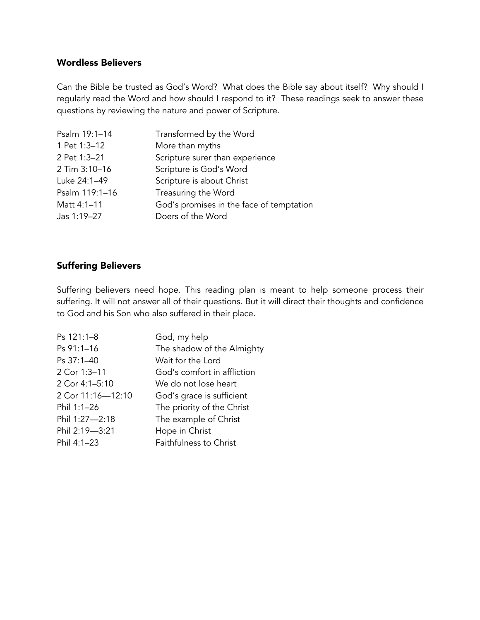### Wordless Believers

Can the Bible be trusted as God's Word? What does the Bible say about itself? Why should I regularly read the Word and how should I respond to it? These readings seek to answer these questions by reviewing the nature and power of Scripture.

| Psalm 19:1-14  | Transformed by the Word                  |
|----------------|------------------------------------------|
| 1 Pet 1:3-12   | More than myths                          |
| 2 Pet 1:3-21   | Scripture surer than experience          |
| 2 Tim 3:10-16  | Scripture is God's Word                  |
| Luke 24:1-49   | Scripture is about Christ                |
| Psalm 119:1-16 | Treasuring the Word                      |
| Matt 4:1-11    | God's promises in the face of temptation |
| Jas 1:19-27    | Doers of the Word                        |

### Suffering Believers

Suffering believers need hope. This reading plan is meant to help someone process their suffering. It will not answer all of their questions. But it will direct their thoughts and confidence to God and his Son who also suffered in their place.

| Ps 121:1-8        | God, my help                |
|-------------------|-----------------------------|
| Ps 91:1-16        | The shadow of the Almighty  |
| Ps 37:1-40        | Wait for the Lord           |
| 2 Cor 1:3-11      | God's comfort in affliction |
| 2 Cor 4:1-5:10    | We do not lose heart        |
| 2 Cor 11:16-12:10 | God's grace is sufficient   |
| Phil 1:1-26       | The priority of the Christ  |
| Phil 1:27-2:18    | The example of Christ       |
| Phil 2:19-3:21    | Hope in Christ              |
| Phil 4:1-23       | Faithfulness to Christ      |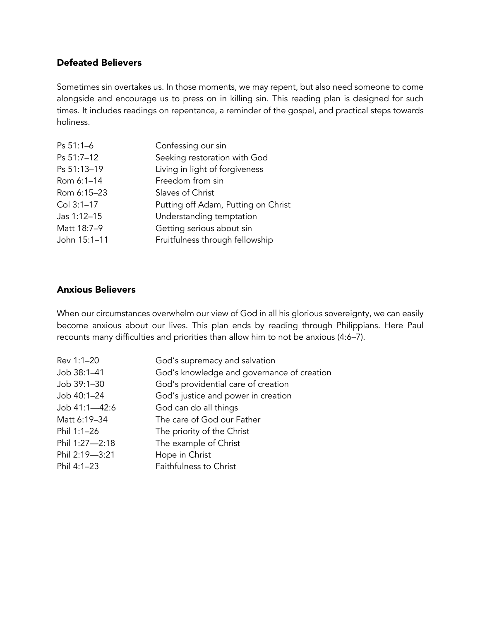### Defeated Believers

Sometimes sin overtakes us. In those moments, we may repent, but also need someone to come alongside and encourage us to press on in killing sin. This reading plan is designed for such times. It includes readings on repentance, a reminder of the gospel, and practical steps towards holiness.

| Ps 51:1-6    | Confessing our sin                  |
|--------------|-------------------------------------|
| Ps 51:7-12   | Seeking restoration with God        |
| Ps 51:13-19  | Living in light of forgiveness      |
| Rom 6:1-14   | Freedom from sin                    |
| Rom 6:15-23  | Slaves of Christ                    |
| Col 3:1-17   | Putting off Adam, Putting on Christ |
| Jas 1:12-15  | Understanding temptation            |
| Matt 18:7-9  | Getting serious about sin           |
| John 15:1-11 | Fruitfulness through fellowship     |
|              |                                     |

### Anxious Believers

When our circumstances overwhelm our view of God in all his glorious sovereignty, we can easily become anxious about our lives. This plan ends by reading through Philippians. Here Paul recounts many difficulties and priorities than allow him to not be anxious (4:6–7).

| Rev 1:1-20     | God's supremacy and salvation              |
|----------------|--------------------------------------------|
| Job 38:1-41    | God's knowledge and governance of creation |
| Job 39:1-30    | God's providential care of creation        |
| Job 40:1-24    | God's justice and power in creation        |
| Job 41:1-42:6  | God can do all things                      |
| Matt 6:19-34   | The care of God our Father                 |
| Phil 1:1-26    | The priority of the Christ                 |
| Phil 1:27-2:18 | The example of Christ                      |
| Phil 2:19-3:21 | Hope in Christ                             |
| Phil 4:1-23    | Faithfulness to Christ                     |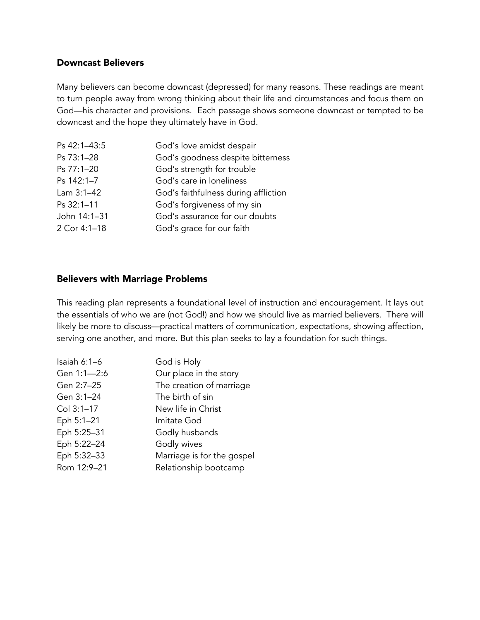### Downcast Believers

Many believers can become downcast (depressed) for many reasons. These readings are meant to turn people away from wrong thinking about their life and circumstances and focus them on God—his character and provisions. Each passage shows someone downcast or tempted to be downcast and the hope they ultimately have in God.

| God's love amidst despair            |
|--------------------------------------|
| God's goodness despite bitterness    |
| God's strength for trouble           |
| God's care in loneliness             |
| God's faithfulness during affliction |
| God's forgiveness of my sin          |
| God's assurance for our doubts       |
| God's grace for our faith            |
|                                      |

#### Believers with Marriage Problems

This reading plan represents a foundational level of instruction and encouragement. It lays out the essentials of who we are (not God!) and how we should live as married believers. There will likely be more to discuss—practical matters of communication, expectations, showing affection, serving one another, and more. But this plan seeks to lay a foundation for such things.

| Isaiah $6:1-6$ | God is Holy                |
|----------------|----------------------------|
| Gen 1:1-2:6    | Our place in the story     |
| Gen 2:7-25     | The creation of marriage   |
| Gen 3:1-24     | The birth of sin           |
| Col 3:1-17     | New life in Christ         |
| Eph 5:1-21     | Imitate God                |
| Eph 5:25-31    | Godly husbands             |
| Eph 5:22-24    | Godly wives                |
| Eph 5:32-33    | Marriage is for the gospel |
| Rom 12:9-21    | Relationship bootcamp      |
|                |                            |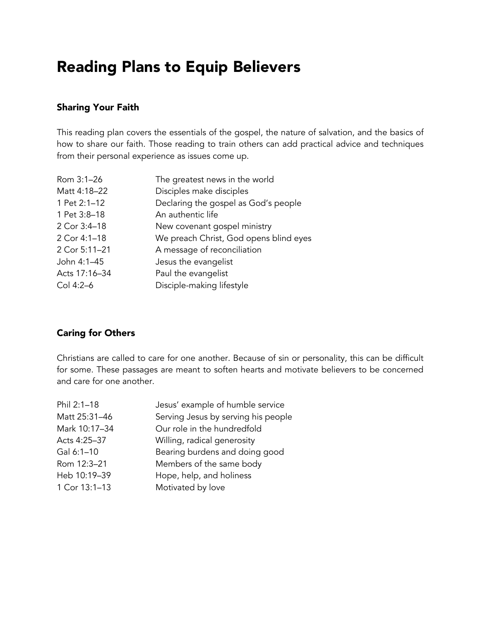## Reading Plans to Equip Believers

### Sharing Your Faith

This reading plan covers the essentials of the gospel, the nature of salvation, and the basics of how to share our faith. Those reading to train others can add practical advice and techniques from their personal experience as issues come up.

| Rom 3:1-26    | The greatest news in the world         |
|---------------|----------------------------------------|
| Matt 4:18-22  | Disciples make disciples               |
| 1 Pet 2:1-12  | Declaring the gospel as God's people   |
| 1 Pet 3:8-18  | An authentic life                      |
| 2 Cor 3:4-18  | New covenant gospel ministry           |
| 2 Cor 4:1-18  | We preach Christ, God opens blind eyes |
| 2 Cor 5:11-21 | A message of reconciliation            |
| John 4:1-45   | Jesus the evangelist                   |
| Acts 17:16-34 | Paul the evangelist                    |
| Col 4:2-6     | Disciple-making lifestyle              |
|               |                                        |

### Caring for Others

Christians are called to care for one another. Because of sin or personality, this can be difficult for some. These passages are meant to soften hearts and motivate believers to be concerned and care for one another.

| Phil 2:1-18   | Jesus' example of humble service    |
|---------------|-------------------------------------|
| Matt 25:31-46 | Serving Jesus by serving his people |
| Mark 10:17-34 | Our role in the hundredfold         |
| Acts 4:25-37  | Willing, radical generosity         |
| Gal 6:1-10    | Bearing burdens and doing good      |
| Rom 12:3-21   | Members of the same body            |
| Heb 10:19-39  | Hope, help, and holiness            |
| 1 Cor 13:1-13 | Motivated by love                   |